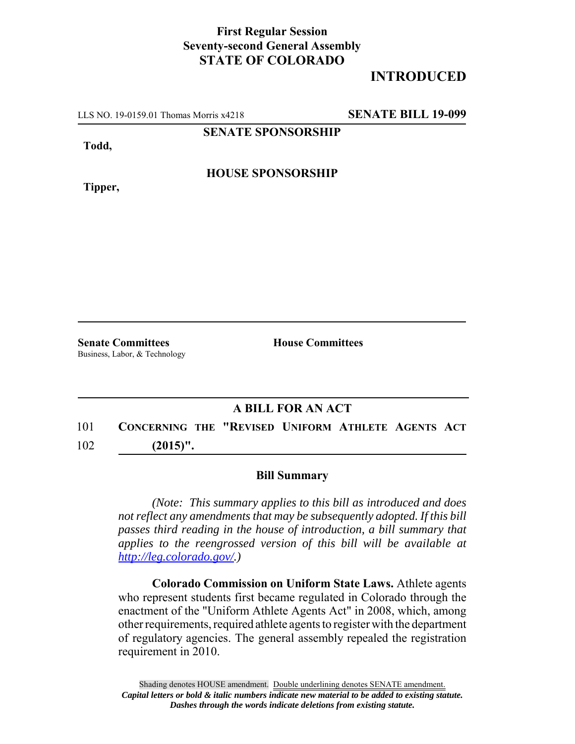## **First Regular Session Seventy-second General Assembly STATE OF COLORADO**

## **INTRODUCED**

LLS NO. 19-0159.01 Thomas Morris x4218 **SENATE BILL 19-099**

**SENATE SPONSORSHIP**

**Todd,**

**HOUSE SPONSORSHIP**

**Tipper,**

**Senate Committees House Committees** Business, Labor, & Technology

## **A BILL FOR AN ACT**

101 **CONCERNING THE "REVISED UNIFORM ATHLETE AGENTS ACT** 102 **(2015)".**

## **Bill Summary**

*(Note: This summary applies to this bill as introduced and does not reflect any amendments that may be subsequently adopted. If this bill passes third reading in the house of introduction, a bill summary that applies to the reengrossed version of this bill will be available at http://leg.colorado.gov/.)*

**Colorado Commission on Uniform State Laws.** Athlete agents who represent students first became regulated in Colorado through the enactment of the "Uniform Athlete Agents Act" in 2008, which, among other requirements, required athlete agents to register with the department of regulatory agencies. The general assembly repealed the registration requirement in 2010.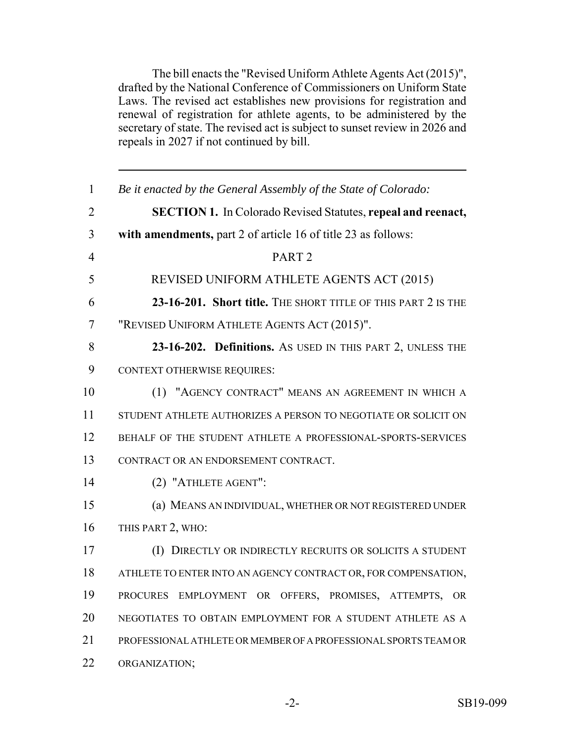The bill enacts the "Revised Uniform Athlete Agents Act (2015)", drafted by the National Conference of Commissioners on Uniform State Laws. The revised act establishes new provisions for registration and renewal of registration for athlete agents, to be administered by the secretary of state. The revised act is subject to sunset review in 2026 and repeals in 2027 if not continued by bill.

| $\mathbf{1}$   | Be it enacted by the General Assembly of the State of Colorado:     |
|----------------|---------------------------------------------------------------------|
| $\overline{2}$ | <b>SECTION 1.</b> In Colorado Revised Statutes, repeal and reenact, |
| 3              | with amendments, part 2 of article 16 of title 23 as follows:       |
| 4              | PART <sub>2</sub>                                                   |
| 5              | REVISED UNIFORM ATHLETE AGENTS ACT (2015)                           |
| 6              | 23-16-201. Short title. THE SHORT TITLE OF THIS PART 2 IS THE       |
| 7              | "REVISED UNIFORM ATHLETE AGENTS ACT (2015)".                        |
| 8              | 23-16-202. Definitions. As USED IN THIS PART 2, UNLESS THE          |
| 9              | <b>CONTEXT OTHERWISE REQUIRES:</b>                                  |
| 10             | (1) "AGENCY CONTRACT" MEANS AN AGREEMENT IN WHICH A                 |
| 11             | STUDENT ATHLETE AUTHORIZES A PERSON TO NEGOTIATE OR SOLICIT ON      |
| 12             | BEHALF OF THE STUDENT ATHLETE A PROFESSIONAL-SPORTS-SERVICES        |
| 13             | CONTRACT OR AN ENDORSEMENT CONTRACT.                                |
| 14             | (2) "ATHLETE AGENT":                                                |
| 15             | (a) MEANS AN INDIVIDUAL, WHETHER OR NOT REGISTERED UNDER            |
| 16             | THIS PART 2, WHO:                                                   |
| 17             | (I) DIRECTLY OR INDIRECTLY RECRUITS OR SOLICITS A STUDENT           |
| 18             | ATHLETE TO ENTER INTO AN AGENCY CONTRACT OR, FOR COMPENSATION,      |
| 19             | PROCURES EMPLOYMENT OR OFFERS, PROMISES, ATTEMPTS, OR               |
| 20             | NEGOTIATES TO OBTAIN EMPLOYMENT FOR A STUDENT ATHLETE AS A          |
| 21             | PROFESSIONAL ATHLETE OR MEMBER OF A PROFESSIONAL SPORTS TEAM OR     |
| 22             | ORGANIZATION;                                                       |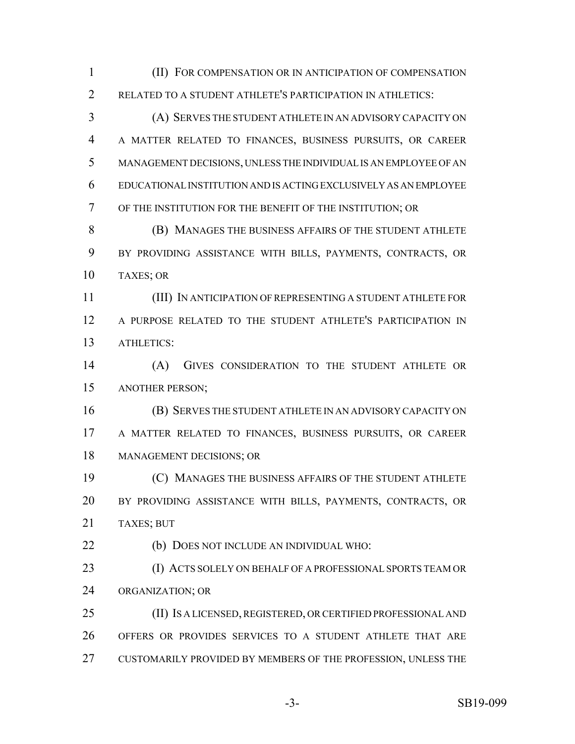(II) FOR COMPENSATION OR IN ANTICIPATION OF COMPENSATION RELATED TO A STUDENT ATHLETE'S PARTICIPATION IN ATHLETICS:

 (A) SERVES THE STUDENT ATHLETE IN AN ADVISORY CAPACITY ON A MATTER RELATED TO FINANCES, BUSINESS PURSUITS, OR CAREER MANAGEMENT DECISIONS, UNLESS THE INDIVIDUAL IS AN EMPLOYEE OF AN EDUCATIONAL INSTITUTION AND IS ACTING EXCLUSIVELY AS AN EMPLOYEE OF THE INSTITUTION FOR THE BENEFIT OF THE INSTITUTION; OR

 (B) MANAGES THE BUSINESS AFFAIRS OF THE STUDENT ATHLETE BY PROVIDING ASSISTANCE WITH BILLS, PAYMENTS, CONTRACTS, OR TAXES; OR

 (III) IN ANTICIPATION OF REPRESENTING A STUDENT ATHLETE FOR A PURPOSE RELATED TO THE STUDENT ATHLETE'S PARTICIPATION IN ATHLETICS:

 (A) GIVES CONSIDERATION TO THE STUDENT ATHLETE OR ANOTHER PERSON;

 (B) SERVES THE STUDENT ATHLETE IN AN ADVISORY CAPACITY ON A MATTER RELATED TO FINANCES, BUSINESS PURSUITS, OR CAREER MANAGEMENT DECISIONS; OR

 (C) MANAGES THE BUSINESS AFFAIRS OF THE STUDENT ATHLETE BY PROVIDING ASSISTANCE WITH BILLS, PAYMENTS, CONTRACTS, OR TAXES; BUT

(b) DOES NOT INCLUDE AN INDIVIDUAL WHO:

 (I) ACTS SOLELY ON BEHALF OF A PROFESSIONAL SPORTS TEAM OR ORGANIZATION; OR

 (II) IS A LICENSED, REGISTERED, OR CERTIFIED PROFESSIONAL AND OFFERS OR PROVIDES SERVICES TO A STUDENT ATHLETE THAT ARE CUSTOMARILY PROVIDED BY MEMBERS OF THE PROFESSION, UNLESS THE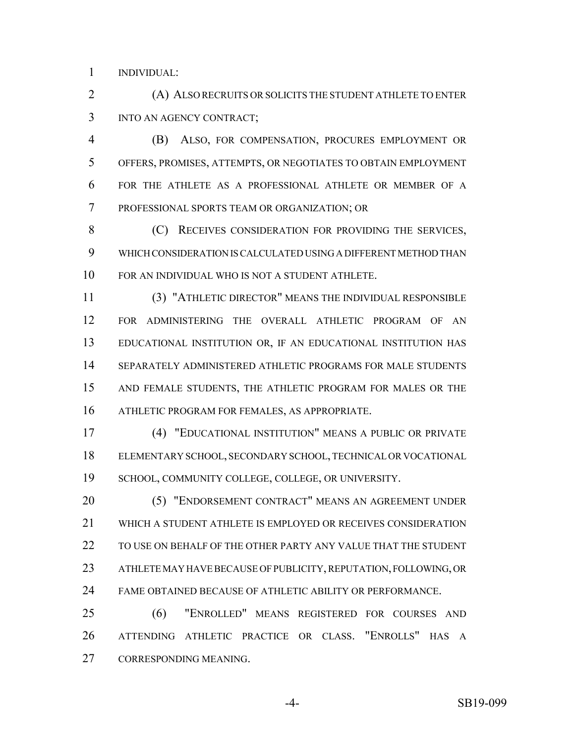INDIVIDUAL:

 (A) ALSO RECRUITS OR SOLICITS THE STUDENT ATHLETE TO ENTER INTO AN AGENCY CONTRACT;

 (B) ALSO, FOR COMPENSATION, PROCURES EMPLOYMENT OR OFFERS, PROMISES, ATTEMPTS, OR NEGOTIATES TO OBTAIN EMPLOYMENT FOR THE ATHLETE AS A PROFESSIONAL ATHLETE OR MEMBER OF A PROFESSIONAL SPORTS TEAM OR ORGANIZATION; OR

8 (C) RECEIVES CONSIDERATION FOR PROVIDING THE SERVICES, WHICH CONSIDERATION IS CALCULATED USING A DIFFERENT METHOD THAN FOR AN INDIVIDUAL WHO IS NOT A STUDENT ATHLETE.

 (3) "ATHLETIC DIRECTOR" MEANS THE INDIVIDUAL RESPONSIBLE FOR ADMINISTERING THE OVERALL ATHLETIC PROGRAM OF AN EDUCATIONAL INSTITUTION OR, IF AN EDUCATIONAL INSTITUTION HAS SEPARATELY ADMINISTERED ATHLETIC PROGRAMS FOR MALE STUDENTS AND FEMALE STUDENTS, THE ATHLETIC PROGRAM FOR MALES OR THE ATHLETIC PROGRAM FOR FEMALES, AS APPROPRIATE.

 (4) "EDUCATIONAL INSTITUTION" MEANS A PUBLIC OR PRIVATE ELEMENTARY SCHOOL, SECONDARY SCHOOL, TECHNICAL OR VOCATIONAL SCHOOL, COMMUNITY COLLEGE, COLLEGE, OR UNIVERSITY.

 (5) "ENDORSEMENT CONTRACT" MEANS AN AGREEMENT UNDER WHICH A STUDENT ATHLETE IS EMPLOYED OR RECEIVES CONSIDERATION TO USE ON BEHALF OF THE OTHER PARTY ANY VALUE THAT THE STUDENT ATHLETE MAY HAVE BECAUSE OF PUBLICITY, REPUTATION, FOLLOWING, OR FAME OBTAINED BECAUSE OF ATHLETIC ABILITY OR PERFORMANCE.

 (6) "ENROLLED" MEANS REGISTERED FOR COURSES AND ATTENDING ATHLETIC PRACTICE OR CLASS. "ENROLLS" HAS A CORRESPONDING MEANING.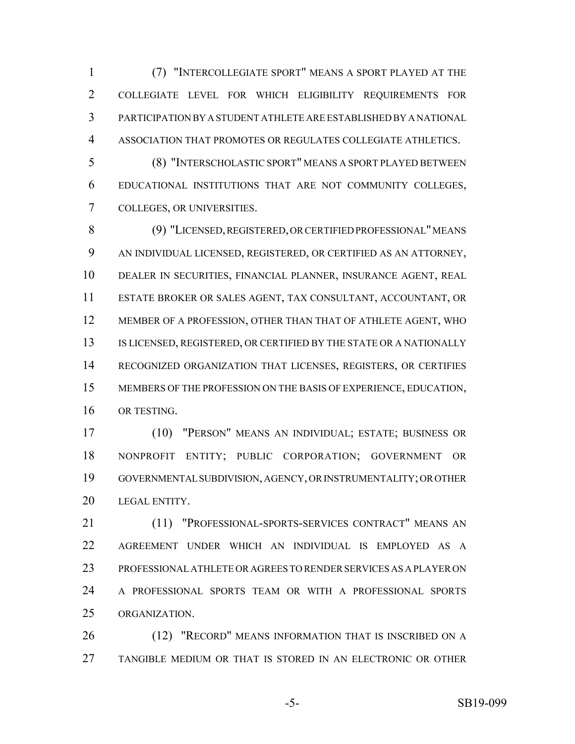(7) "INTERCOLLEGIATE SPORT" MEANS A SPORT PLAYED AT THE COLLEGIATE LEVEL FOR WHICH ELIGIBILITY REQUIREMENTS FOR PARTICIPATION BY A STUDENT ATHLETE ARE ESTABLISHED BY A NATIONAL ASSOCIATION THAT PROMOTES OR REGULATES COLLEGIATE ATHLETICS.

 (8) "INTERSCHOLASTIC SPORT" MEANS A SPORT PLAYED BETWEEN EDUCATIONAL INSTITUTIONS THAT ARE NOT COMMUNITY COLLEGES, COLLEGES, OR UNIVERSITIES.

 (9) "LICENSED, REGISTERED, OR CERTIFIED PROFESSIONAL" MEANS AN INDIVIDUAL LICENSED, REGISTERED, OR CERTIFIED AS AN ATTORNEY, DEALER IN SECURITIES, FINANCIAL PLANNER, INSURANCE AGENT, REAL ESTATE BROKER OR SALES AGENT, TAX CONSULTANT, ACCOUNTANT, OR MEMBER OF A PROFESSION, OTHER THAN THAT OF ATHLETE AGENT, WHO 13 IS LICENSED, REGISTERED, OR CERTIFIED BY THE STATE OR A NATIONALLY RECOGNIZED ORGANIZATION THAT LICENSES, REGISTERS, OR CERTIFIES MEMBERS OF THE PROFESSION ON THE BASIS OF EXPERIENCE, EDUCATION, OR TESTING.

 (10) "PERSON" MEANS AN INDIVIDUAL; ESTATE; BUSINESS OR NONPROFIT ENTITY; PUBLIC CORPORATION; GOVERNMENT OR GOVERNMENTAL SUBDIVISION, AGENCY, OR INSTRUMENTALITY; OR OTHER LEGAL ENTITY.

 (11) "PROFESSIONAL-SPORTS-SERVICES CONTRACT" MEANS AN AGREEMENT UNDER WHICH AN INDIVIDUAL IS EMPLOYED AS A PROFESSIONAL ATHLETE OR AGREES TO RENDER SERVICES AS A PLAYER ON A PROFESSIONAL SPORTS TEAM OR WITH A PROFESSIONAL SPORTS ORGANIZATION.

26 (12) "RECORD" MEANS INFORMATION THAT IS INSCRIBED ON A TANGIBLE MEDIUM OR THAT IS STORED IN AN ELECTRONIC OR OTHER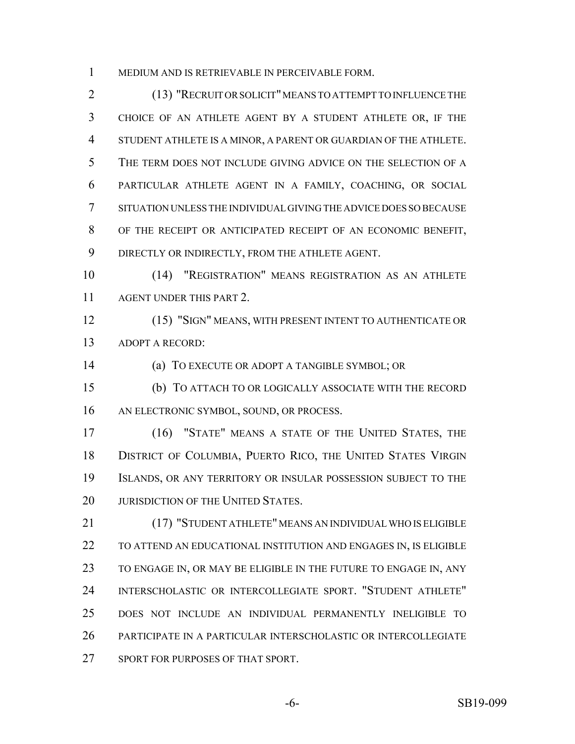MEDIUM AND IS RETRIEVABLE IN PERCEIVABLE FORM.

 (13) "RECRUIT OR SOLICIT" MEANS TO ATTEMPT TO INFLUENCE THE CHOICE OF AN ATHLETE AGENT BY A STUDENT ATHLETE OR, IF THE STUDENT ATHLETE IS A MINOR, A PARENT OR GUARDIAN OF THE ATHLETE. THE TERM DOES NOT INCLUDE GIVING ADVICE ON THE SELECTION OF A PARTICULAR ATHLETE AGENT IN A FAMILY, COACHING, OR SOCIAL SITUATION UNLESS THE INDIVIDUAL GIVING THE ADVICE DOES SO BECAUSE OF THE RECEIPT OR ANTICIPATED RECEIPT OF AN ECONOMIC BENEFIT, DIRECTLY OR INDIRECTLY, FROM THE ATHLETE AGENT.

 (14) "REGISTRATION" MEANS REGISTRATION AS AN ATHLETE AGENT UNDER THIS PART 2.

 (15) "SIGN" MEANS, WITH PRESENT INTENT TO AUTHENTICATE OR ADOPT A RECORD:

(a) TO EXECUTE OR ADOPT A TANGIBLE SYMBOL; OR

 (b) TO ATTACH TO OR LOGICALLY ASSOCIATE WITH THE RECORD AN ELECTRONIC SYMBOL, SOUND, OR PROCESS.

 (16) "STATE" MEANS A STATE OF THE UNITED STATES, THE DISTRICT OF COLUMBIA, PUERTO RICO, THE UNITED STATES VIRGIN ISLANDS, OR ANY TERRITORY OR INSULAR POSSESSION SUBJECT TO THE 20 JURISDICTION OF THE UNITED STATES.

 (17) "STUDENT ATHLETE" MEANS AN INDIVIDUAL WHO IS ELIGIBLE TO ATTEND AN EDUCATIONAL INSTITUTION AND ENGAGES IN, IS ELIGIBLE TO ENGAGE IN, OR MAY BE ELIGIBLE IN THE FUTURE TO ENGAGE IN, ANY INTERSCHOLASTIC OR INTERCOLLEGIATE SPORT. "STUDENT ATHLETE" DOES NOT INCLUDE AN INDIVIDUAL PERMANENTLY INELIGIBLE TO PARTICIPATE IN A PARTICULAR INTERSCHOLASTIC OR INTERCOLLEGIATE SPORT FOR PURPOSES OF THAT SPORT.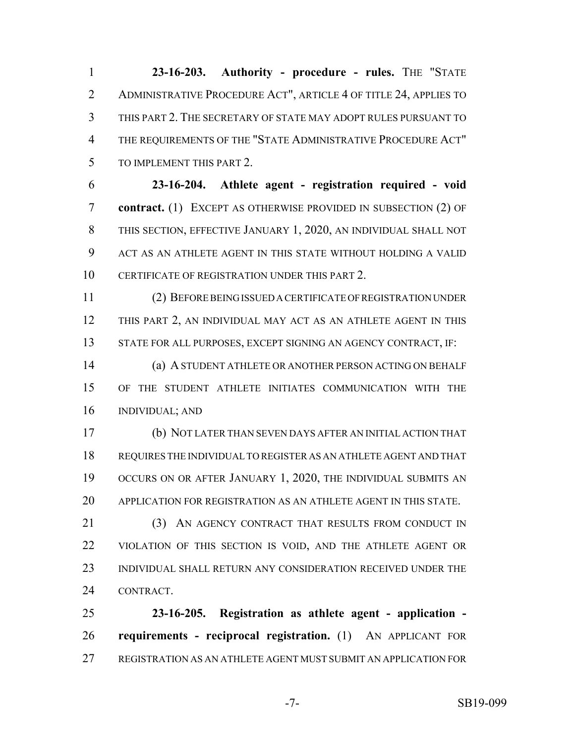**23-16-203.** Authority - procedure - rules. THE "STATE ADMINISTRATIVE PROCEDURE ACT", ARTICLE 4 OF TITLE 24, APPLIES TO THIS PART 2. THE SECRETARY OF STATE MAY ADOPT RULES PURSUANT TO THE REQUIREMENTS OF THE "STATE ADMINISTRATIVE PROCEDURE ACT" TO IMPLEMENT THIS PART 2.

 **23-16-204. Athlete agent - registration required - void contract.** (1) EXCEPT AS OTHERWISE PROVIDED IN SUBSECTION (2) OF THIS SECTION, EFFECTIVE JANUARY 1, 2020, AN INDIVIDUAL SHALL NOT ACT AS AN ATHLETE AGENT IN THIS STATE WITHOUT HOLDING A VALID CERTIFICATE OF REGISTRATION UNDER THIS PART 2.

 (2) BEFORE BEING ISSUED A CERTIFICATE OF REGISTRATION UNDER THIS PART 2, AN INDIVIDUAL MAY ACT AS AN ATHLETE AGENT IN THIS STATE FOR ALL PURPOSES, EXCEPT SIGNING AN AGENCY CONTRACT, IF:

 (a) A STUDENT ATHLETE OR ANOTHER PERSON ACTING ON BEHALF OF THE STUDENT ATHLETE INITIATES COMMUNICATION WITH THE INDIVIDUAL; AND

 (b) NOT LATER THAN SEVEN DAYS AFTER AN INITIAL ACTION THAT REQUIRES THE INDIVIDUAL TO REGISTER AS AN ATHLETE AGENT AND THAT OCCURS ON OR AFTER JANUARY 1, 2020, THE INDIVIDUAL SUBMITS AN APPLICATION FOR REGISTRATION AS AN ATHLETE AGENT IN THIS STATE.

21 (3) AN AGENCY CONTRACT THAT RESULTS FROM CONDUCT IN VIOLATION OF THIS SECTION IS VOID, AND THE ATHLETE AGENT OR INDIVIDUAL SHALL RETURN ANY CONSIDERATION RECEIVED UNDER THE CONTRACT.

 **23-16-205. Registration as athlete agent - application - requirements - reciprocal registration.** (1) AN APPLICANT FOR REGISTRATION AS AN ATHLETE AGENT MUST SUBMIT AN APPLICATION FOR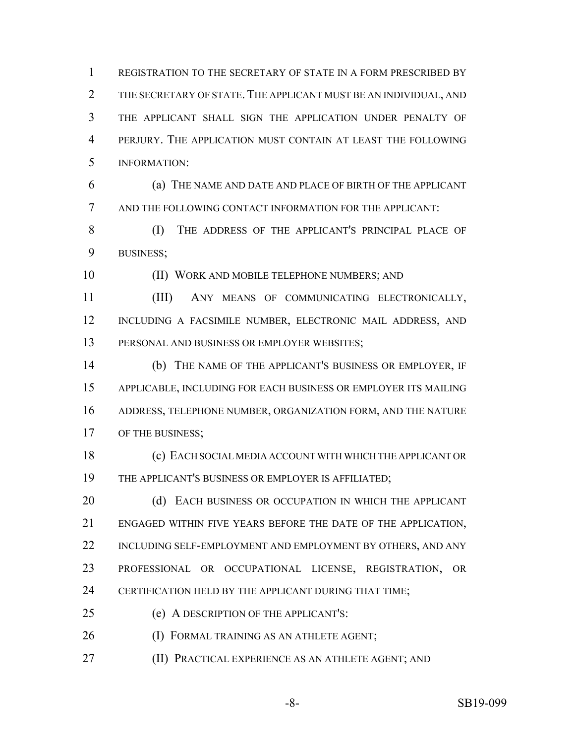REGISTRATION TO THE SECRETARY OF STATE IN A FORM PRESCRIBED BY THE SECRETARY OF STATE. THE APPLICANT MUST BE AN INDIVIDUAL, AND THE APPLICANT SHALL SIGN THE APPLICATION UNDER PENALTY OF PERJURY. THE APPLICATION MUST CONTAIN AT LEAST THE FOLLOWING INFORMATION:

 (a) THE NAME AND DATE AND PLACE OF BIRTH OF THE APPLICANT AND THE FOLLOWING CONTACT INFORMATION FOR THE APPLICANT:

8 (I) THE ADDRESS OF THE APPLICANT'S PRINCIPAL PLACE OF BUSINESS;

(II) WORK AND MOBILE TELEPHONE NUMBERS; AND

 (III) ANY MEANS OF COMMUNICATING ELECTRONICALLY, INCLUDING A FACSIMILE NUMBER, ELECTRONIC MAIL ADDRESS, AND PERSONAL AND BUSINESS OR EMPLOYER WEBSITES;

 (b) THE NAME OF THE APPLICANT'S BUSINESS OR EMPLOYER, IF APPLICABLE, INCLUDING FOR EACH BUSINESS OR EMPLOYER ITS MAILING ADDRESS, TELEPHONE NUMBER, ORGANIZATION FORM, AND THE NATURE 17 OF THE BUSINESS;

 (c) EACH SOCIAL MEDIA ACCOUNT WITH WHICH THE APPLICANT OR THE APPLICANT'S BUSINESS OR EMPLOYER IS AFFILIATED;

20 (d) EACH BUSINESS OR OCCUPATION IN WHICH THE APPLICANT ENGAGED WITHIN FIVE YEARS BEFORE THE DATE OF THE APPLICATION, 22 INCLUDING SELF-EMPLOYMENT AND EMPLOYMENT BY OTHERS, AND ANY PROFESSIONAL OR OCCUPATIONAL LICENSE, REGISTRATION, OR CERTIFICATION HELD BY THE APPLICANT DURING THAT TIME;

- (e) A DESCRIPTION OF THE APPLICANT'S:
- (I) FORMAL TRAINING AS AN ATHLETE AGENT;
- (II) PRACTICAL EXPERIENCE AS AN ATHLETE AGENT; AND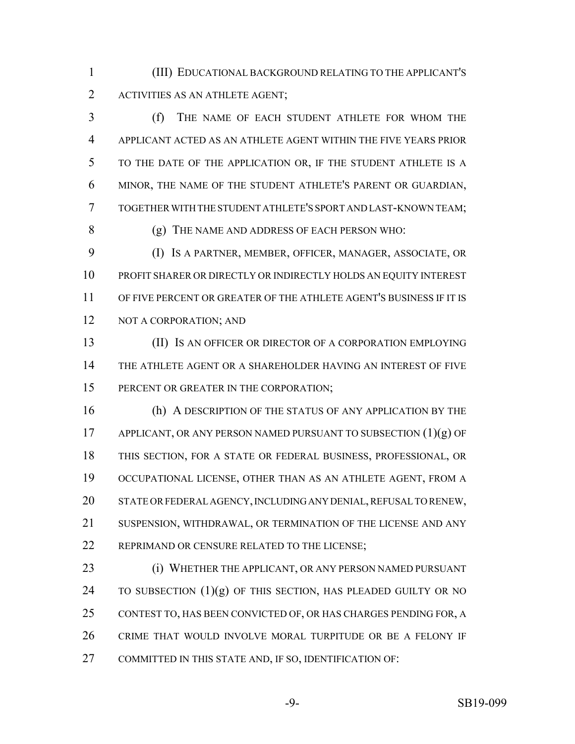(III) EDUCATIONAL BACKGROUND RELATING TO THE APPLICANT'S ACTIVITIES AS AN ATHLETE AGENT;

 (f) THE NAME OF EACH STUDENT ATHLETE FOR WHOM THE APPLICANT ACTED AS AN ATHLETE AGENT WITHIN THE FIVE YEARS PRIOR TO THE DATE OF THE APPLICATION OR, IF THE STUDENT ATHLETE IS A MINOR, THE NAME OF THE STUDENT ATHLETE'S PARENT OR GUARDIAN, TOGETHER WITH THE STUDENT ATHLETE'S SPORT AND LAST-KNOWN TEAM; (g) THE NAME AND ADDRESS OF EACH PERSON WHO:

 (I) IS A PARTNER, MEMBER, OFFICER, MANAGER, ASSOCIATE, OR PROFIT SHARER OR DIRECTLY OR INDIRECTLY HOLDS AN EQUITY INTEREST OF FIVE PERCENT OR GREATER OF THE ATHLETE AGENT'S BUSINESS IF IT IS 12 NOT A CORPORATION; AND

 (II) IS AN OFFICER OR DIRECTOR OF A CORPORATION EMPLOYING THE ATHLETE AGENT OR A SHAREHOLDER HAVING AN INTEREST OF FIVE 15 PERCENT OR GREATER IN THE CORPORATION;

 (h) A DESCRIPTION OF THE STATUS OF ANY APPLICATION BY THE 17 APPLICANT, OR ANY PERSON NAMED PURSUANT TO SUBSECTION  $(1)(g)$  OF THIS SECTION, FOR A STATE OR FEDERAL BUSINESS, PROFESSIONAL, OR OCCUPATIONAL LICENSE, OTHER THAN AS AN ATHLETE AGENT, FROM A STATE OR FEDERAL AGENCY, INCLUDING ANY DENIAL, REFUSAL TO RENEW, SUSPENSION, WITHDRAWAL, OR TERMINATION OF THE LICENSE AND ANY 22 REPRIMAND OR CENSURE RELATED TO THE LICENSE;

 (i) WHETHER THE APPLICANT, OR ANY PERSON NAMED PURSUANT 24 TO SUBSECTION  $(1)(g)$  OF THIS SECTION, HAS PLEADED GUILTY OR NO CONTEST TO, HAS BEEN CONVICTED OF, OR HAS CHARGES PENDING FOR, A CRIME THAT WOULD INVOLVE MORAL TURPITUDE OR BE A FELONY IF COMMITTED IN THIS STATE AND, IF SO, IDENTIFICATION OF: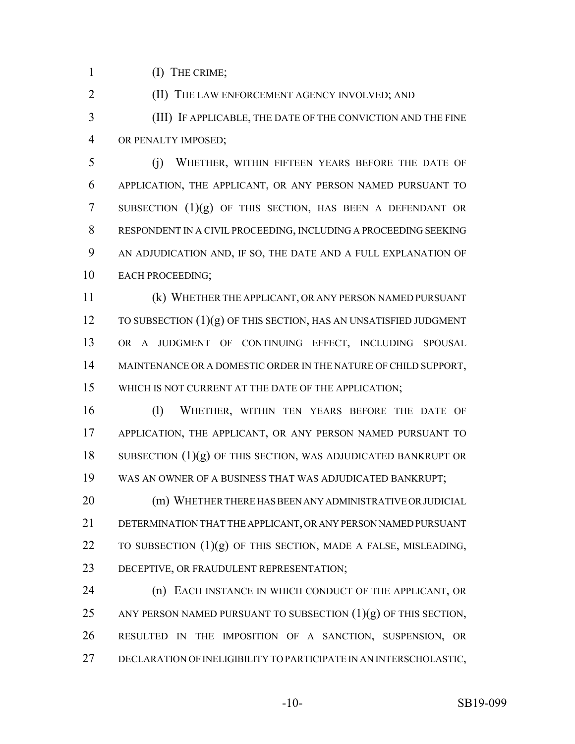(I) THE CRIME;

(II) THE LAW ENFORCEMENT AGENCY INVOLVED; AND

 (III) IF APPLICABLE, THE DATE OF THE CONVICTION AND THE FINE OR PENALTY IMPOSED;

 (j) WHETHER, WITHIN FIFTEEN YEARS BEFORE THE DATE OF APPLICATION, THE APPLICANT, OR ANY PERSON NAMED PURSUANT TO SUBSECTION (1)(g) OF THIS SECTION, HAS BEEN A DEFENDANT OR RESPONDENT IN A CIVIL PROCEEDING, INCLUDING A PROCEEDING SEEKING AN ADJUDICATION AND, IF SO, THE DATE AND A FULL EXPLANATION OF EACH PROCEEDING;

 (k) WHETHER THE APPLICANT, OR ANY PERSON NAMED PURSUANT  $\overline{10}$  TO SUBSECTION  $(1)(g)$  OF THIS SECTION, HAS AN UNSATISFIED JUDGMENT OR A JUDGMENT OF CONTINUING EFFECT, INCLUDING SPOUSAL 14 MAINTENANCE OR A DOMESTIC ORDER IN THE NATURE OF CHILD SUPPORT, WHICH IS NOT CURRENT AT THE DATE OF THE APPLICATION;

 (l) WHETHER, WITHIN TEN YEARS BEFORE THE DATE OF APPLICATION, THE APPLICANT, OR ANY PERSON NAMED PURSUANT TO 18 SUBSECTION  $(1)(g)$  OF THIS SECTION, WAS ADJUDICATED BANKRUPT OR WAS AN OWNER OF A BUSINESS THAT WAS ADJUDICATED BANKRUPT;

 (m) WHETHER THERE HAS BEEN ANY ADMINISTRATIVE OR JUDICIAL DETERMINATION THAT THE APPLICANT, OR ANY PERSON NAMED PURSUANT 22 TO SUBSECTION  $(1)(g)$  OF THIS SECTION, MADE A FALSE, MISLEADING, DECEPTIVE, OR FRAUDULENT REPRESENTATION;

 (n) EACH INSTANCE IN WHICH CONDUCT OF THE APPLICANT, OR 25 ANY PERSON NAMED PURSUANT TO SUBSECTION  $(1)(g)$  OF THIS SECTION, RESULTED IN THE IMPOSITION OF A SANCTION, SUSPENSION, OR DECLARATION OF INELIGIBILITY TO PARTICIPATE IN AN INTERSCHOLASTIC,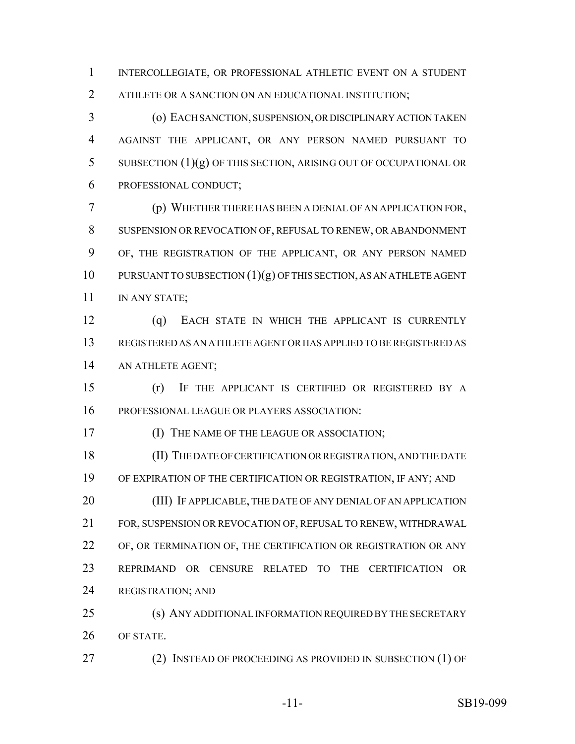INTERCOLLEGIATE, OR PROFESSIONAL ATHLETIC EVENT ON A STUDENT ATHLETE OR A SANCTION ON AN EDUCATIONAL INSTITUTION;

 (o) EACH SANCTION, SUSPENSION, OR DISCIPLINARY ACTION TAKEN AGAINST THE APPLICANT, OR ANY PERSON NAMED PURSUANT TO SUBSECTION (1)(g) OF THIS SECTION, ARISING OUT OF OCCUPATIONAL OR PROFESSIONAL CONDUCT;

 (p) WHETHER THERE HAS BEEN A DENIAL OF AN APPLICATION FOR, SUSPENSION OR REVOCATION OF, REFUSAL TO RENEW, OR ABANDONMENT OF, THE REGISTRATION OF THE APPLICANT, OR ANY PERSON NAMED PURSUANT TO SUBSECTION (1)(g) OF THIS SECTION, AS AN ATHLETE AGENT IN ANY STATE;

 (q) EACH STATE IN WHICH THE APPLICANT IS CURRENTLY REGISTERED AS AN ATHLETE AGENT OR HAS APPLIED TO BE REGISTERED AS AN ATHLETE AGENT;

 (r) IF THE APPLICANT IS CERTIFIED OR REGISTERED BY A PROFESSIONAL LEAGUE OR PLAYERS ASSOCIATION:

**ISSUE OF THE LEAGUE OR ASSOCIATION;** 

 (II) THE DATE OF CERTIFICATION OR REGISTRATION, AND THE DATE OF EXPIRATION OF THE CERTIFICATION OR REGISTRATION, IF ANY; AND (III) IF APPLICABLE, THE DATE OF ANY DENIAL OF AN APPLICATION FOR, SUSPENSION OR REVOCATION OF, REFUSAL TO RENEW, WITHDRAWAL

 OF, OR TERMINATION OF, THE CERTIFICATION OR REGISTRATION OR ANY REPRIMAND OR CENSURE RELATED TO THE CERTIFICATION OR REGISTRATION; AND

 (s) ANY ADDITIONAL INFORMATION REQUIRED BY THE SECRETARY OF STATE.

27 (2) INSTEAD OF PROCEEDING AS PROVIDED IN SUBSECTION (1) OF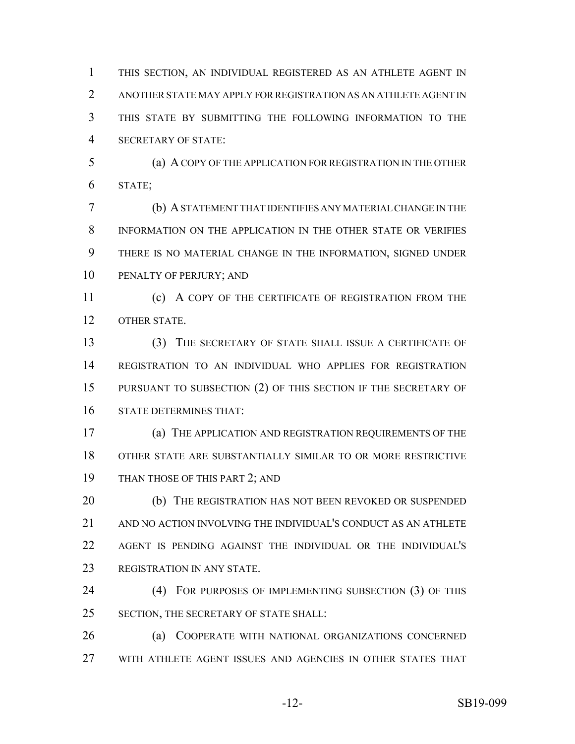THIS SECTION, AN INDIVIDUAL REGISTERED AS AN ATHLETE AGENT IN ANOTHER STATE MAY APPLY FOR REGISTRATION AS AN ATHLETE AGENT IN THIS STATE BY SUBMITTING THE FOLLOWING INFORMATION TO THE SECRETARY OF STATE:

 (a) A COPY OF THE APPLICATION FOR REGISTRATION IN THE OTHER STATE;

 (b) A STATEMENT THAT IDENTIFIES ANY MATERIAL CHANGE IN THE INFORMATION ON THE APPLICATION IN THE OTHER STATE OR VERIFIES THERE IS NO MATERIAL CHANGE IN THE INFORMATION, SIGNED UNDER PENALTY OF PERJURY; AND

**(c)** A COPY OF THE CERTIFICATE OF REGISTRATION FROM THE OTHER STATE.

 (3) THE SECRETARY OF STATE SHALL ISSUE A CERTIFICATE OF REGISTRATION TO AN INDIVIDUAL WHO APPLIES FOR REGISTRATION PURSUANT TO SUBSECTION (2) OF THIS SECTION IF THE SECRETARY OF STATE DETERMINES THAT:

 (a) THE APPLICATION AND REGISTRATION REQUIREMENTS OF THE OTHER STATE ARE SUBSTANTIALLY SIMILAR TO OR MORE RESTRICTIVE 19 THAN THOSE OF THIS PART 2; AND

20 (b) THE REGISTRATION HAS NOT BEEN REVOKED OR SUSPENDED AND NO ACTION INVOLVING THE INDIVIDUAL'S CONDUCT AS AN ATHLETE AGENT IS PENDING AGAINST THE INDIVIDUAL OR THE INDIVIDUAL'S REGISTRATION IN ANY STATE.

 (4) FOR PURPOSES OF IMPLEMENTING SUBSECTION (3) OF THIS SECTION, THE SECRETARY OF STATE SHALL:

 (a) COOPERATE WITH NATIONAL ORGANIZATIONS CONCERNED WITH ATHLETE AGENT ISSUES AND AGENCIES IN OTHER STATES THAT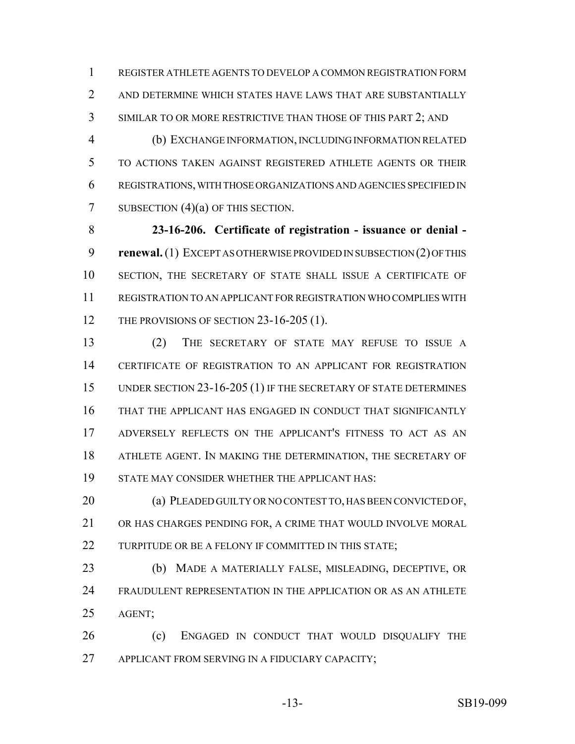REGISTER ATHLETE AGENTS TO DEVELOP A COMMON REGISTRATION FORM 2 AND DETERMINE WHICH STATES HAVE LAWS THAT ARE SUBSTANTIALLY SIMILAR TO OR MORE RESTRICTIVE THAN THOSE OF THIS PART 2; AND

 (b) EXCHANGE INFORMATION, INCLUDING INFORMATION RELATED TO ACTIONS TAKEN AGAINST REGISTERED ATHLETE AGENTS OR THEIR REGISTRATIONS, WITH THOSE ORGANIZATIONS AND AGENCIES SPECIFIED IN 7 SUBSECTION (4)(a) OF THIS SECTION.

 **23-16-206. Certificate of registration - issuance or denial - renewal.** (1) EXCEPT AS OTHERWISE PROVIDED IN SUBSECTION (2) OF THIS SECTION, THE SECRETARY OF STATE SHALL ISSUE A CERTIFICATE OF REGISTRATION TO AN APPLICANT FOR REGISTRATION WHO COMPLIES WITH 12 THE PROVISIONS OF SECTION 23-16-205 (1).

 (2) THE SECRETARY OF STATE MAY REFUSE TO ISSUE A CERTIFICATE OF REGISTRATION TO AN APPLICANT FOR REGISTRATION 15 UNDER SECTION 23-16-205 (1) IF THE SECRETARY OF STATE DETERMINES THAT THE APPLICANT HAS ENGAGED IN CONDUCT THAT SIGNIFICANTLY ADVERSELY REFLECTS ON THE APPLICANT'S FITNESS TO ACT AS AN ATHLETE AGENT. IN MAKING THE DETERMINATION, THE SECRETARY OF STATE MAY CONSIDER WHETHER THE APPLICANT HAS:

 (a) PLEADED GUILTY OR NO CONTEST TO, HAS BEEN CONVICTED OF, OR HAS CHARGES PENDING FOR, A CRIME THAT WOULD INVOLVE MORAL 22 TURPITUDE OR BE A FELONY IF COMMITTED IN THIS STATE;

 (b) MADE A MATERIALLY FALSE, MISLEADING, DECEPTIVE, OR FRAUDULENT REPRESENTATION IN THE APPLICATION OR AS AN ATHLETE AGENT;

 (c) ENGAGED IN CONDUCT THAT WOULD DISQUALIFY THE 27 APPLICANT FROM SERVING IN A FIDUCIARY CAPACITY;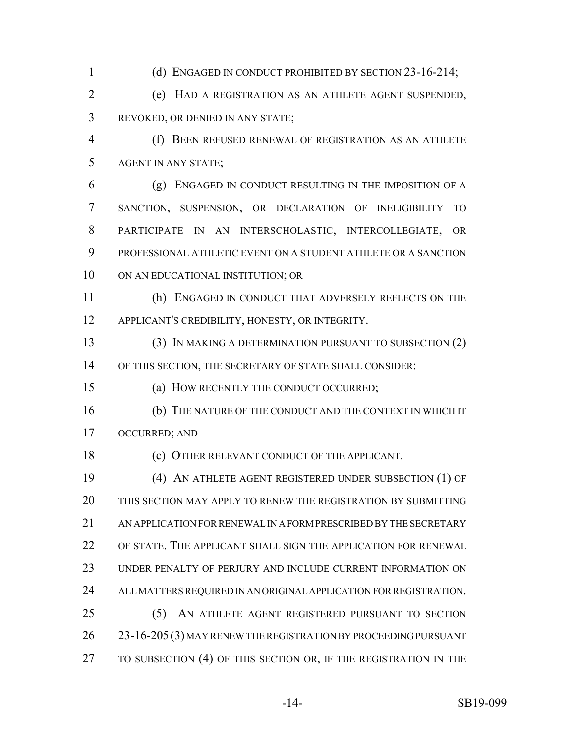(d) ENGAGED IN CONDUCT PROHIBITED BY SECTION 23-16-214; (e) HAD A REGISTRATION AS AN ATHLETE AGENT SUSPENDED, REVOKED, OR DENIED IN ANY STATE; (f) BEEN REFUSED RENEWAL OF REGISTRATION AS AN ATHLETE AGENT IN ANY STATE; (g) ENGAGED IN CONDUCT RESULTING IN THE IMPOSITION OF A SANCTION, SUSPENSION, OR DECLARATION OF INELIGIBILITY TO PARTICIPATE IN AN INTERSCHOLASTIC, INTERCOLLEGIATE, OR PROFESSIONAL ATHLETIC EVENT ON A STUDENT ATHLETE OR A SANCTION 10 ON AN EDUCATIONAL INSTITUTION; OR (h) ENGAGED IN CONDUCT THAT ADVERSELY REFLECTS ON THE APPLICANT'S CREDIBILITY, HONESTY, OR INTEGRITY. (3) IN MAKING A DETERMINATION PURSUANT TO SUBSECTION (2) OF THIS SECTION, THE SECRETARY OF STATE SHALL CONSIDER: (a) HOW RECENTLY THE CONDUCT OCCURRED; (b) THE NATURE OF THE CONDUCT AND THE CONTEXT IN WHICH IT OCCURRED; AND (c) OTHER RELEVANT CONDUCT OF THE APPLICANT. (4) AN ATHLETE AGENT REGISTERED UNDER SUBSECTION (1) OF THIS SECTION MAY APPLY TO RENEW THE REGISTRATION BY SUBMITTING AN APPLICATION FOR RENEWAL IN A FORM PRESCRIBED BY THE SECRETARY OF STATE. THE APPLICANT SHALL SIGN THE APPLICATION FOR RENEWAL UNDER PENALTY OF PERJURY AND INCLUDE CURRENT INFORMATION ON ALL MATTERS REQUIRED IN AN ORIGINAL APPLICATION FOR REGISTRATION. (5) AN ATHLETE AGENT REGISTERED PURSUANT TO SECTION 23-16-205(3) MAY RENEW THE REGISTRATION BY PROCEEDING PURSUANT TO SUBSECTION (4) OF THIS SECTION OR, IF THE REGISTRATION IN THE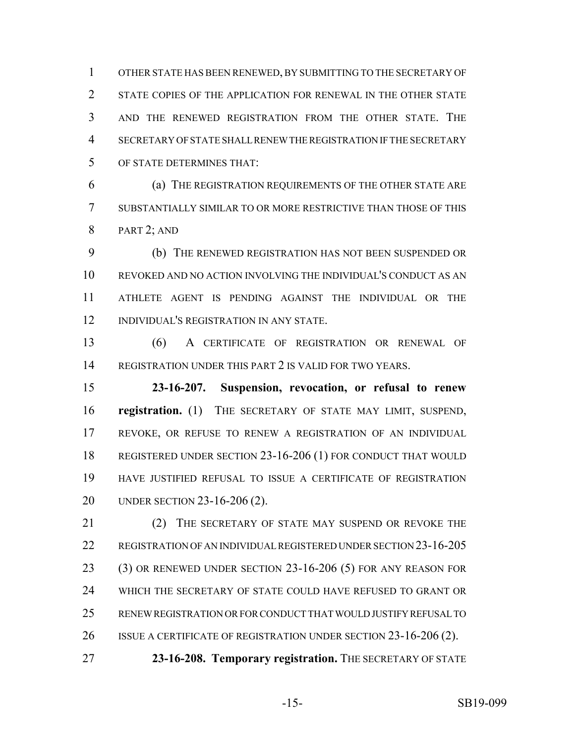OTHER STATE HAS BEEN RENEWED, BY SUBMITTING TO THE SECRETARY OF 2 STATE COPIES OF THE APPLICATION FOR RENEWAL IN THE OTHER STATE AND THE RENEWED REGISTRATION FROM THE OTHER STATE. THE SECRETARY OF STATE SHALL RENEW THE REGISTRATION IF THE SECRETARY OF STATE DETERMINES THAT:

 (a) THE REGISTRATION REQUIREMENTS OF THE OTHER STATE ARE SUBSTANTIALLY SIMILAR TO OR MORE RESTRICTIVE THAN THOSE OF THIS PART 2; AND

 (b) THE RENEWED REGISTRATION HAS NOT BEEN SUSPENDED OR REVOKED AND NO ACTION INVOLVING THE INDIVIDUAL'S CONDUCT AS AN ATHLETE AGENT IS PENDING AGAINST THE INDIVIDUAL OR THE INDIVIDUAL'S REGISTRATION IN ANY STATE.

 (6) A CERTIFICATE OF REGISTRATION OR RENEWAL OF REGISTRATION UNDER THIS PART 2 IS VALID FOR TWO YEARS.

 **23-16-207. Suspension, revocation, or refusal to renew registration.** (1) THE SECRETARY OF STATE MAY LIMIT, SUSPEND, REVOKE, OR REFUSE TO RENEW A REGISTRATION OF AN INDIVIDUAL REGISTERED UNDER SECTION 23-16-206 (1) FOR CONDUCT THAT WOULD HAVE JUSTIFIED REFUSAL TO ISSUE A CERTIFICATE OF REGISTRATION UNDER SECTION 23-16-206 (2).

21 (2) THE SECRETARY OF STATE MAY SUSPEND OR REVOKE THE REGISTRATION OF AN INDIVIDUAL REGISTERED UNDER SECTION 23-16-205 (3) OR RENEWED UNDER SECTION 23-16-206 (5) FOR ANY REASON FOR WHICH THE SECRETARY OF STATE COULD HAVE REFUSED TO GRANT OR RENEW REGISTRATION OR FOR CONDUCT THAT WOULD JUSTIFY REFUSAL TO 26 ISSUE A CERTIFICATE OF REGISTRATION UNDER SECTION 23-16-206 (2).

**23-16-208. Temporary registration.** THE SECRETARY OF STATE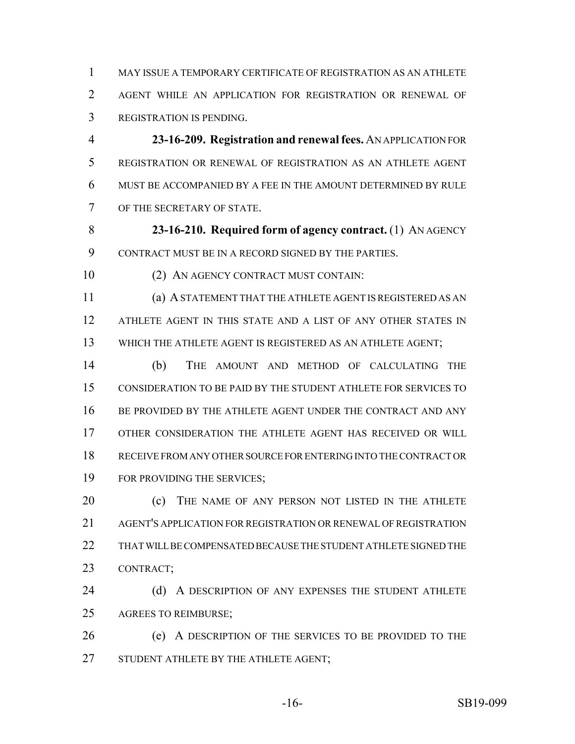MAY ISSUE A TEMPORARY CERTIFICATE OF REGISTRATION AS AN ATHLETE AGENT WHILE AN APPLICATION FOR REGISTRATION OR RENEWAL OF REGISTRATION IS PENDING.

 **23-16-209. Registration and renewal fees.** AN APPLICATION FOR REGISTRATION OR RENEWAL OF REGISTRATION AS AN ATHLETE AGENT MUST BE ACCOMPANIED BY A FEE IN THE AMOUNT DETERMINED BY RULE OF THE SECRETARY OF STATE.

 **23-16-210. Required form of agency contract.** (1) AN AGENCY CONTRACT MUST BE IN A RECORD SIGNED BY THE PARTIES.

10 (2) AN AGENCY CONTRACT MUST CONTAIN:

 (a) A STATEMENT THAT THE ATHLETE AGENT IS REGISTERED AS AN ATHLETE AGENT IN THIS STATE AND A LIST OF ANY OTHER STATES IN 13 WHICH THE ATHLETE AGENT IS REGISTERED AS AN ATHLETE AGENT;

 (b) THE AMOUNT AND METHOD OF CALCULATING THE CONSIDERATION TO BE PAID BY THE STUDENT ATHLETE FOR SERVICES TO 16 BE PROVIDED BY THE ATHLETE AGENT UNDER THE CONTRACT AND ANY OTHER CONSIDERATION THE ATHLETE AGENT HAS RECEIVED OR WILL RECEIVE FROM ANY OTHER SOURCE FOR ENTERING INTO THE CONTRACT OR 19 FOR PROVIDING THE SERVICES;

**(c)** THE NAME OF ANY PERSON NOT LISTED IN THE ATHLETE AGENT'S APPLICATION FOR REGISTRATION OR RENEWAL OF REGISTRATION 22 THAT WILL BE COMPENSATED BECAUSE THE STUDENT ATHLETE SIGNED THE CONTRACT;

24 (d) A DESCRIPTION OF ANY EXPENSES THE STUDENT ATHLETE AGREES TO REIMBURSE;

 (e) A DESCRIPTION OF THE SERVICES TO BE PROVIDED TO THE STUDENT ATHLETE BY THE ATHLETE AGENT;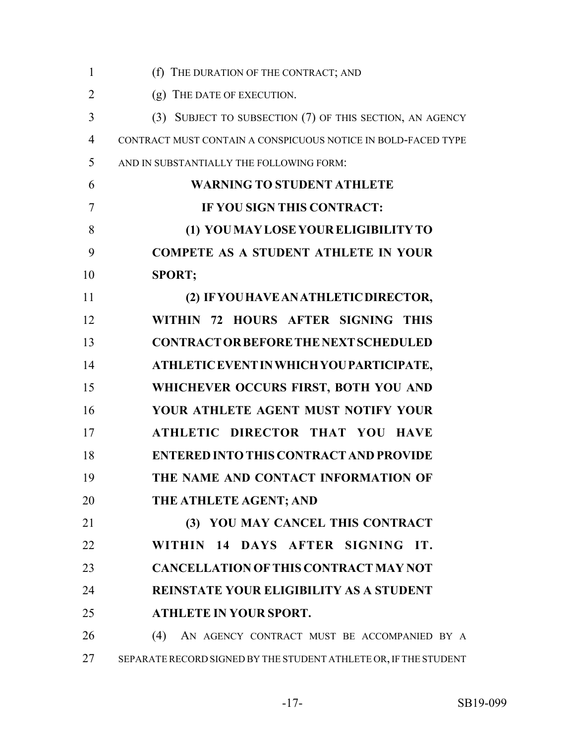| $\mathbf{1}$   | (f) THE DURATION OF THE CONTRACT; AND                            |
|----------------|------------------------------------------------------------------|
| $\overline{2}$ | (g) THE DATE OF EXECUTION.                                       |
| 3              | (3) SUBJECT TO SUBSECTION (7) OF THIS SECTION, AN AGENCY         |
| $\overline{4}$ | CONTRACT MUST CONTAIN A CONSPICUOUS NOTICE IN BOLD-FACED TYPE    |
| 5              | AND IN SUBSTANTIALLY THE FOLLOWING FORM:                         |
| 6              | <b>WARNING TO STUDENT ATHLETE</b>                                |
| 7              | IF YOU SIGN THIS CONTRACT:                                       |
| 8              | (1) YOU MAY LOSE YOUR ELIGIBILITY TO                             |
| 9              | <b>COMPETE AS A STUDENT ATHLETE IN YOUR</b>                      |
| 10             | <b>SPORT;</b>                                                    |
| 11             | (2) IF YOU HAVE AN ATHLETIC DIRECTOR,                            |
| 12             | WITHIN 72 HOURS AFTER SIGNING THIS                               |
| 13             | <b>CONTRACT OR BEFORE THE NEXT SCHEDULED</b>                     |
| 14             | ATHLETIC EVENT IN WHICH YOU PARTICIPATE,                         |
| 15             | WHICHEVER OCCURS FIRST, BOTH YOU AND                             |
| 16             | YOUR ATHLETE AGENT MUST NOTIFY YOUR                              |
| 17             | ATHLETIC DIRECTOR THAT YOU HAVE                                  |
| 18             | <b>ENTERED INTO THIS CONTRACT AND PROVIDE</b>                    |
| 19             | THE NAME AND CONTACT INFORMATION OF                              |
| 20             | THE ATHLETE AGENT; AND                                           |
| 21             | (3) YOU MAY CANCEL THIS CONTRACT                                 |
| 22             | WITHIN 14 DAYS AFTER SIGNING<br>IT.                              |
| 23             | <b>CANCELLATION OF THIS CONTRACT MAY NOT</b>                     |
| 24             | <b>REINSTATE YOUR ELIGIBILITY AS A STUDENT</b>                   |
| 25             | <b>ATHLETE IN YOUR SPORT.</b>                                    |
| 26             | (4)<br>AN AGENCY CONTRACT MUST BE ACCOMPANIED BY A               |
| 27             | SEPARATE RECORD SIGNED BY THE STUDENT ATHLETE OR, IF THE STUDENT |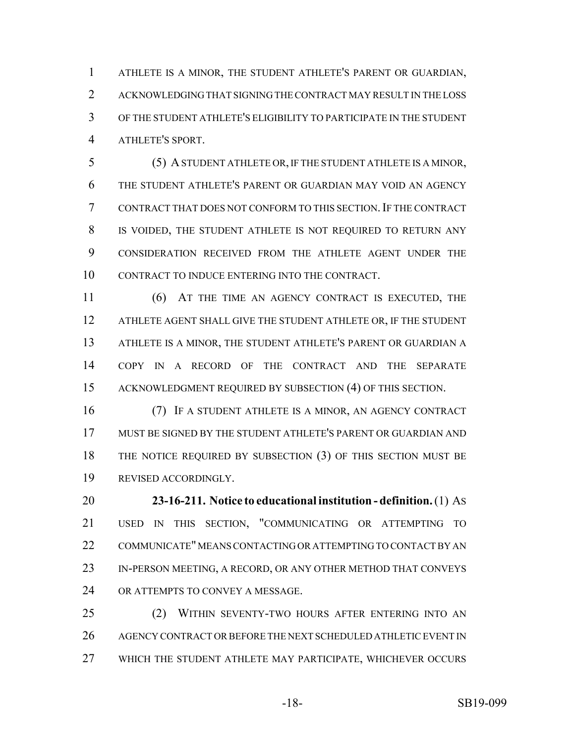ATHLETE IS A MINOR, THE STUDENT ATHLETE'S PARENT OR GUARDIAN, ACKNOWLEDGING THAT SIGNING THE CONTRACT MAY RESULT IN THE LOSS OF THE STUDENT ATHLETE'S ELIGIBILITY TO PARTICIPATE IN THE STUDENT ATHLETE'S SPORT.

 (5) A STUDENT ATHLETE OR, IF THE STUDENT ATHLETE IS A MINOR, THE STUDENT ATHLETE'S PARENT OR GUARDIAN MAY VOID AN AGENCY CONTRACT THAT DOES NOT CONFORM TO THIS SECTION.IF THE CONTRACT IS VOIDED, THE STUDENT ATHLETE IS NOT REQUIRED TO RETURN ANY CONSIDERATION RECEIVED FROM THE ATHLETE AGENT UNDER THE CONTRACT TO INDUCE ENTERING INTO THE CONTRACT.

 (6) AT THE TIME AN AGENCY CONTRACT IS EXECUTED, THE ATHLETE AGENT SHALL GIVE THE STUDENT ATHLETE OR, IF THE STUDENT ATHLETE IS A MINOR, THE STUDENT ATHLETE'S PARENT OR GUARDIAN A COPY IN A RECORD OF THE CONTRACT AND THE SEPARATE ACKNOWLEDGMENT REQUIRED BY SUBSECTION (4) OF THIS SECTION.

 (7) IF A STUDENT ATHLETE IS A MINOR, AN AGENCY CONTRACT MUST BE SIGNED BY THE STUDENT ATHLETE'S PARENT OR GUARDIAN AND THE NOTICE REQUIRED BY SUBSECTION (3) OF THIS SECTION MUST BE REVISED ACCORDINGLY.

 **23-16-211. Notice to educational institution - definition.** (1) AS USED IN THIS SECTION, "COMMUNICATING OR ATTEMPTING TO COMMUNICATE" MEANS CONTACTING OR ATTEMPTING TO CONTACT BY AN 23 IN-PERSON MEETING, A RECORD, OR ANY OTHER METHOD THAT CONVEYS OR ATTEMPTS TO CONVEY A MESSAGE.

 (2) WITHIN SEVENTY-TWO HOURS AFTER ENTERING INTO AN AGENCY CONTRACT OR BEFORE THE NEXT SCHEDULED ATHLETIC EVENT IN WHICH THE STUDENT ATHLETE MAY PARTICIPATE, WHICHEVER OCCURS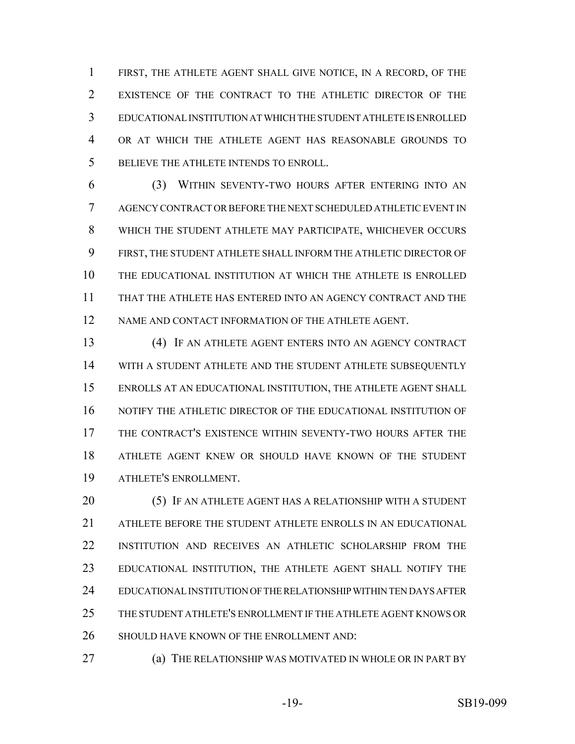FIRST, THE ATHLETE AGENT SHALL GIVE NOTICE, IN A RECORD, OF THE EXISTENCE OF THE CONTRACT TO THE ATHLETIC DIRECTOR OF THE EDUCATIONAL INSTITUTION AT WHICH THE STUDENT ATHLETE IS ENROLLED OR AT WHICH THE ATHLETE AGENT HAS REASONABLE GROUNDS TO BELIEVE THE ATHLETE INTENDS TO ENROLL.

 (3) WITHIN SEVENTY-TWO HOURS AFTER ENTERING INTO AN AGENCY CONTRACT OR BEFORE THE NEXT SCHEDULED ATHLETIC EVENT IN WHICH THE STUDENT ATHLETE MAY PARTICIPATE, WHICHEVER OCCURS FIRST, THE STUDENT ATHLETE SHALL INFORM THE ATHLETIC DIRECTOR OF THE EDUCATIONAL INSTITUTION AT WHICH THE ATHLETE IS ENROLLED THAT THE ATHLETE HAS ENTERED INTO AN AGENCY CONTRACT AND THE 12 NAME AND CONTACT INFORMATION OF THE ATHLETE AGENT.

 (4) IF AN ATHLETE AGENT ENTERS INTO AN AGENCY CONTRACT WITH A STUDENT ATHLETE AND THE STUDENT ATHLETE SUBSEQUENTLY ENROLLS AT AN EDUCATIONAL INSTITUTION, THE ATHLETE AGENT SHALL NOTIFY THE ATHLETIC DIRECTOR OF THE EDUCATIONAL INSTITUTION OF THE CONTRACT'S EXISTENCE WITHIN SEVENTY-TWO HOURS AFTER THE ATHLETE AGENT KNEW OR SHOULD HAVE KNOWN OF THE STUDENT ATHLETE'S ENROLLMENT.

 (5) IF AN ATHLETE AGENT HAS A RELATIONSHIP WITH A STUDENT ATHLETE BEFORE THE STUDENT ATHLETE ENROLLS IN AN EDUCATIONAL INSTITUTION AND RECEIVES AN ATHLETIC SCHOLARSHIP FROM THE EDUCATIONAL INSTITUTION, THE ATHLETE AGENT SHALL NOTIFY THE EDUCATIONAL INSTITUTION OF THE RELATIONSHIP WITHIN TEN DAYS AFTER THE STUDENT ATHLETE'S ENROLLMENT IF THE ATHLETE AGENT KNOWS OR 26 SHOULD HAVE KNOWN OF THE ENROLLMENT AND:

**(a) THE RELATIONSHIP WAS MOTIVATED IN WHOLE OR IN PART BY**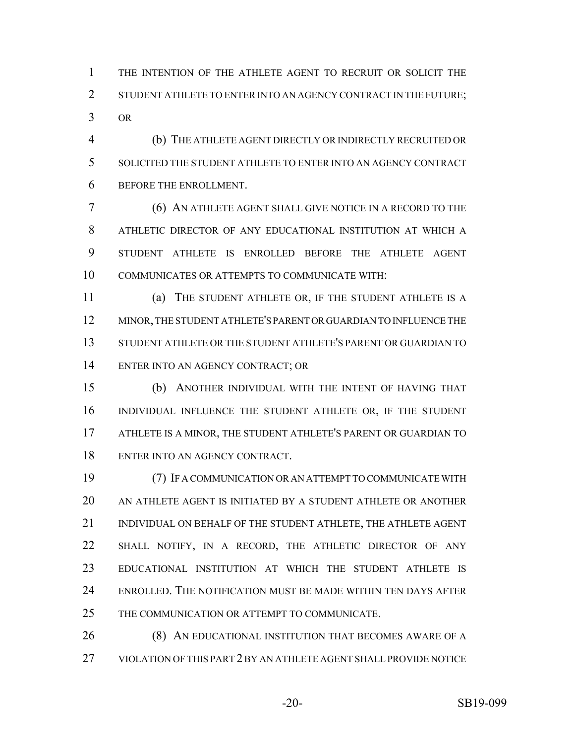THE INTENTION OF THE ATHLETE AGENT TO RECRUIT OR SOLICIT THE 2 STUDENT ATHLETE TO ENTER INTO AN AGENCY CONTRACT IN THE FUTURE; OR

 (b) THE ATHLETE AGENT DIRECTLY OR INDIRECTLY RECRUITED OR SOLICITED THE STUDENT ATHLETE TO ENTER INTO AN AGENCY CONTRACT BEFORE THE ENROLLMENT.

 (6) AN ATHLETE AGENT SHALL GIVE NOTICE IN A RECORD TO THE ATHLETIC DIRECTOR OF ANY EDUCATIONAL INSTITUTION AT WHICH A STUDENT ATHLETE IS ENROLLED BEFORE THE ATHLETE AGENT COMMUNICATES OR ATTEMPTS TO COMMUNICATE WITH:

 (a) THE STUDENT ATHLETE OR, IF THE STUDENT ATHLETE IS A MINOR, THE STUDENT ATHLETE'S PARENT OR GUARDIAN TO INFLUENCE THE STUDENT ATHLETE OR THE STUDENT ATHLETE'S PARENT OR GUARDIAN TO ENTER INTO AN AGENCY CONTRACT; OR

 (b) ANOTHER INDIVIDUAL WITH THE INTENT OF HAVING THAT INDIVIDUAL INFLUENCE THE STUDENT ATHLETE OR, IF THE STUDENT ATHLETE IS A MINOR, THE STUDENT ATHLETE'S PARENT OR GUARDIAN TO ENTER INTO AN AGENCY CONTRACT.

 (7) IF A COMMUNICATION OR AN ATTEMPT TO COMMUNICATE WITH AN ATHLETE AGENT IS INITIATED BY A STUDENT ATHLETE OR ANOTHER INDIVIDUAL ON BEHALF OF THE STUDENT ATHLETE, THE ATHLETE AGENT SHALL NOTIFY, IN A RECORD, THE ATHLETIC DIRECTOR OF ANY EDUCATIONAL INSTITUTION AT WHICH THE STUDENT ATHLETE IS ENROLLED. THE NOTIFICATION MUST BE MADE WITHIN TEN DAYS AFTER THE COMMUNICATION OR ATTEMPT TO COMMUNICATE.

26 (8) AN EDUCATIONAL INSTITUTION THAT BECOMES AWARE OF A VIOLATION OF THIS PART 2 BY AN ATHLETE AGENT SHALL PROVIDE NOTICE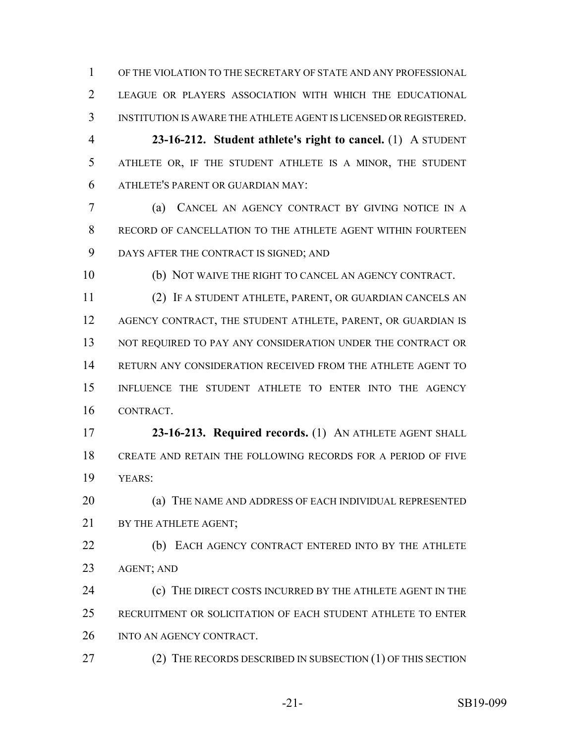OF THE VIOLATION TO THE SECRETARY OF STATE AND ANY PROFESSIONAL LEAGUE OR PLAYERS ASSOCIATION WITH WHICH THE EDUCATIONAL INSTITUTION IS AWARE THE ATHLETE AGENT IS LICENSED OR REGISTERED.

 **23-16-212. Student athlete's right to cancel.** (1) A STUDENT ATHLETE OR, IF THE STUDENT ATHLETE IS A MINOR, THE STUDENT ATHLETE'S PARENT OR GUARDIAN MAY:

 (a) CANCEL AN AGENCY CONTRACT BY GIVING NOTICE IN A RECORD OF CANCELLATION TO THE ATHLETE AGENT WITHIN FOURTEEN DAYS AFTER THE CONTRACT IS SIGNED; AND

(b) NOT WAIVE THE RIGHT TO CANCEL AN AGENCY CONTRACT.

 (2) IF A STUDENT ATHLETE, PARENT, OR GUARDIAN CANCELS AN AGENCY CONTRACT, THE STUDENT ATHLETE, PARENT, OR GUARDIAN IS 13 NOT REQUIRED TO PAY ANY CONSIDERATION UNDER THE CONTRACT OR RETURN ANY CONSIDERATION RECEIVED FROM THE ATHLETE AGENT TO INFLUENCE THE STUDENT ATHLETE TO ENTER INTO THE AGENCY CONTRACT.

 **23-16-213. Required records.** (1) AN ATHLETE AGENT SHALL CREATE AND RETAIN THE FOLLOWING RECORDS FOR A PERIOD OF FIVE YEARS:

**(a) THE NAME AND ADDRESS OF EACH INDIVIDUAL REPRESENTED** 21 BY THE ATHLETE AGENT:

22 (b) EACH AGENCY CONTRACT ENTERED INTO BY THE ATHLETE AGENT; AND

**(c)** THE DIRECT COSTS INCURRED BY THE ATHLETE AGENT IN THE RECRUITMENT OR SOLICITATION OF EACH STUDENT ATHLETE TO ENTER INTO AN AGENCY CONTRACT.

27 (2) THE RECORDS DESCRIBED IN SUBSECTION (1) OF THIS SECTION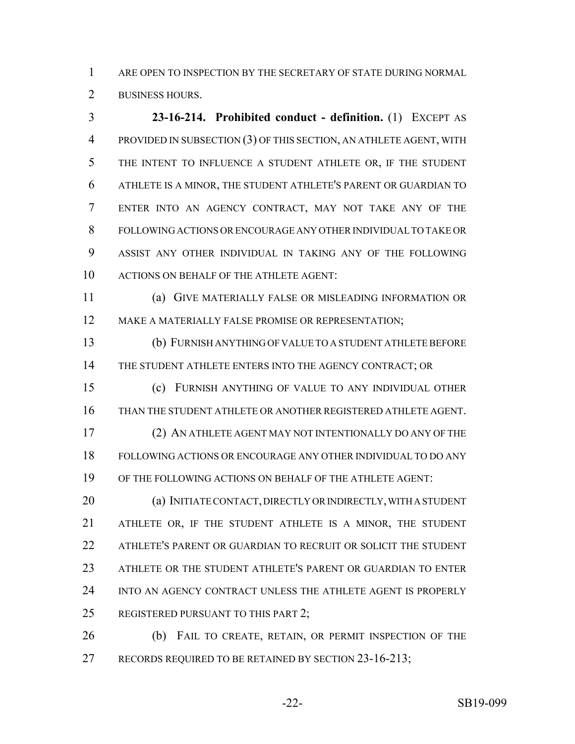ARE OPEN TO INSPECTION BY THE SECRETARY OF STATE DURING NORMAL BUSINESS HOURS.

 **23-16-214. Prohibited conduct - definition.** (1) EXCEPT AS PROVIDED IN SUBSECTION (3) OF THIS SECTION, AN ATHLETE AGENT, WITH THE INTENT TO INFLUENCE A STUDENT ATHLETE OR, IF THE STUDENT ATHLETE IS A MINOR, THE STUDENT ATHLETE'S PARENT OR GUARDIAN TO ENTER INTO AN AGENCY CONTRACT, MAY NOT TAKE ANY OF THE FOLLOWING ACTIONS OR ENCOURAGE ANY OTHER INDIVIDUAL TO TAKE OR ASSIST ANY OTHER INDIVIDUAL IN TAKING ANY OF THE FOLLOWING ACTIONS ON BEHALF OF THE ATHLETE AGENT:

 (a) GIVE MATERIALLY FALSE OR MISLEADING INFORMATION OR MAKE A MATERIALLY FALSE PROMISE OR REPRESENTATION;

 (b) FURNISH ANYTHING OF VALUE TO A STUDENT ATHLETE BEFORE 14 THE STUDENT ATHLETE ENTERS INTO THE AGENCY CONTRACT; OR

 (c) FURNISH ANYTHING OF VALUE TO ANY INDIVIDUAL OTHER THAN THE STUDENT ATHLETE OR ANOTHER REGISTERED ATHLETE AGENT.

 (2) AN ATHLETE AGENT MAY NOT INTENTIONALLY DO ANY OF THE FOLLOWING ACTIONS OR ENCOURAGE ANY OTHER INDIVIDUAL TO DO ANY OF THE FOLLOWING ACTIONS ON BEHALF OF THE ATHLETE AGENT:

 (a) INITIATE CONTACT, DIRECTLY OR INDIRECTLY, WITH A STUDENT ATHLETE OR, IF THE STUDENT ATHLETE IS A MINOR, THE STUDENT ATHLETE'S PARENT OR GUARDIAN TO RECRUIT OR SOLICIT THE STUDENT ATHLETE OR THE STUDENT ATHLETE'S PARENT OR GUARDIAN TO ENTER INTO AN AGENCY CONTRACT UNLESS THE ATHLETE AGENT IS PROPERLY 25 REGISTERED PURSUANT TO THIS PART 2;

 (b) FAIL TO CREATE, RETAIN, OR PERMIT INSPECTION OF THE 27 RECORDS REQUIRED TO BE RETAINED BY SECTION 23-16-213;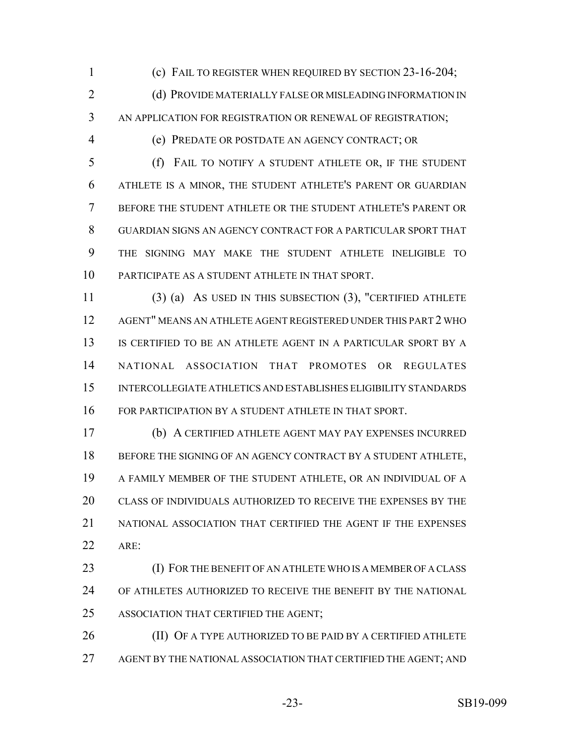(c) FAIL TO REGISTER WHEN REQUIRED BY SECTION 23-16-204;

2 (d) PROVIDE MATERIALLY FALSE OR MISLEADING INFORMATION IN AN APPLICATION FOR REGISTRATION OR RENEWAL OF REGISTRATION;

(e) PREDATE OR POSTDATE AN AGENCY CONTRACT; OR

 (f) FAIL TO NOTIFY A STUDENT ATHLETE OR, IF THE STUDENT ATHLETE IS A MINOR, THE STUDENT ATHLETE'S PARENT OR GUARDIAN BEFORE THE STUDENT ATHLETE OR THE STUDENT ATHLETE'S PARENT OR GUARDIAN SIGNS AN AGENCY CONTRACT FOR A PARTICULAR SPORT THAT THE SIGNING MAY MAKE THE STUDENT ATHLETE INELIGIBLE TO PARTICIPATE AS A STUDENT ATHLETE IN THAT SPORT.

 (3) (a) AS USED IN THIS SUBSECTION (3), "CERTIFIED ATHLETE AGENT" MEANS AN ATHLETE AGENT REGISTERED UNDER THIS PART 2 WHO IS CERTIFIED TO BE AN ATHLETE AGENT IN A PARTICULAR SPORT BY A NATIONAL ASSOCIATION THAT PROMOTES OR REGULATES INTERCOLLEGIATE ATHLETICS AND ESTABLISHES ELIGIBILITY STANDARDS FOR PARTICIPATION BY A STUDENT ATHLETE IN THAT SPORT.

 (b) A CERTIFIED ATHLETE AGENT MAY PAY EXPENSES INCURRED 18 BEFORE THE SIGNING OF AN AGENCY CONTRACT BY A STUDENT ATHLETE, A FAMILY MEMBER OF THE STUDENT ATHLETE, OR AN INDIVIDUAL OF A CLASS OF INDIVIDUALS AUTHORIZED TO RECEIVE THE EXPENSES BY THE NATIONAL ASSOCIATION THAT CERTIFIED THE AGENT IF THE EXPENSES ARE:

 (I) FOR THE BENEFIT OF AN ATHLETE WHO IS A MEMBER OF A CLASS OF ATHLETES AUTHORIZED TO RECEIVE THE BENEFIT BY THE NATIONAL ASSOCIATION THAT CERTIFIED THE AGENT;

26 (II) OF A TYPE AUTHORIZED TO BE PAID BY A CERTIFIED ATHLETE AGENT BY THE NATIONAL ASSOCIATION THAT CERTIFIED THE AGENT; AND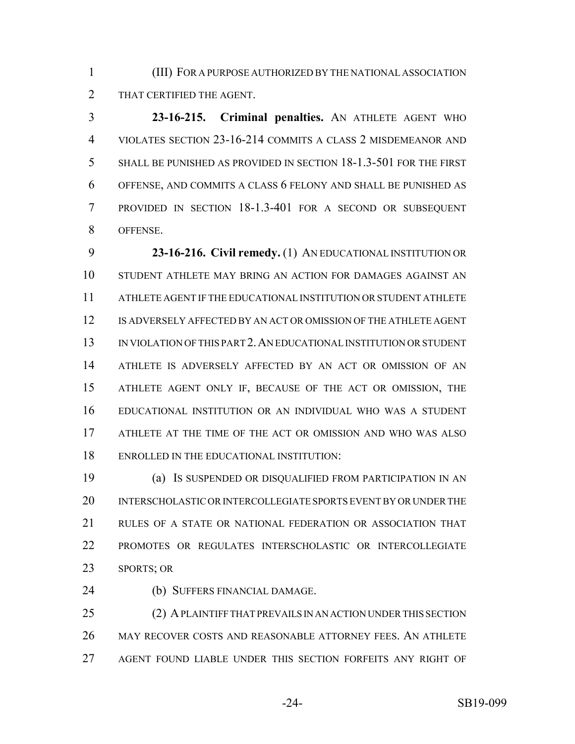(III) FOR A PURPOSE AUTHORIZED BY THE NATIONAL ASSOCIATION THAT CERTIFIED THE AGENT.

 **23-16-215. Criminal penalties.** AN ATHLETE AGENT WHO VIOLATES SECTION 23-16-214 COMMITS A CLASS 2 MISDEMEANOR AND SHALL BE PUNISHED AS PROVIDED IN SECTION 18-1.3-501 FOR THE FIRST OFFENSE, AND COMMITS A CLASS 6 FELONY AND SHALL BE PUNISHED AS PROVIDED IN SECTION 18-1.3-401 FOR A SECOND OR SUBSEQUENT OFFENSE.

 **23-16-216. Civil remedy.** (1) AN EDUCATIONAL INSTITUTION OR STUDENT ATHLETE MAY BRING AN ACTION FOR DAMAGES AGAINST AN ATHLETE AGENT IF THE EDUCATIONAL INSTITUTION OR STUDENT ATHLETE IS ADVERSELY AFFECTED BY AN ACT OR OMISSION OF THE ATHLETE AGENT IN VIOLATION OF THIS PART 2.AN EDUCATIONAL INSTITUTION OR STUDENT ATHLETE IS ADVERSELY AFFECTED BY AN ACT OR OMISSION OF AN ATHLETE AGENT ONLY IF, BECAUSE OF THE ACT OR OMISSION, THE EDUCATIONAL INSTITUTION OR AN INDIVIDUAL WHO WAS A STUDENT ATHLETE AT THE TIME OF THE ACT OR OMISSION AND WHO WAS ALSO ENROLLED IN THE EDUCATIONAL INSTITUTION:

 (a) IS SUSPENDED OR DISQUALIFIED FROM PARTICIPATION IN AN INTERSCHOLASTIC OR INTERCOLLEGIATE SPORTS EVENT BY OR UNDER THE RULES OF A STATE OR NATIONAL FEDERATION OR ASSOCIATION THAT PROMOTES OR REGULATES INTERSCHOLASTIC OR INTERCOLLEGIATE SPORTS; OR

(b) SUFFERS FINANCIAL DAMAGE.

 (2) A PLAINTIFF THAT PREVAILS IN AN ACTION UNDER THIS SECTION MAY RECOVER COSTS AND REASONABLE ATTORNEY FEES. AN ATHLETE AGENT FOUND LIABLE UNDER THIS SECTION FORFEITS ANY RIGHT OF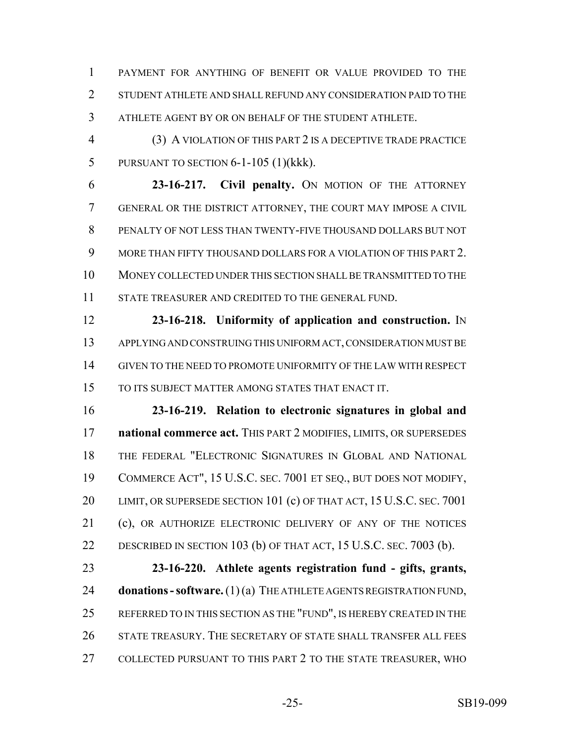PAYMENT FOR ANYTHING OF BENEFIT OR VALUE PROVIDED TO THE STUDENT ATHLETE AND SHALL REFUND ANY CONSIDERATION PAID TO THE ATHLETE AGENT BY OR ON BEHALF OF THE STUDENT ATHLETE.

 (3) A VIOLATION OF THIS PART 2 IS A DECEPTIVE TRADE PRACTICE PURSUANT TO SECTION 6-1-105 (1)(kkk).

 **23-16-217. Civil penalty.** ON MOTION OF THE ATTORNEY GENERAL OR THE DISTRICT ATTORNEY, THE COURT MAY IMPOSE A CIVIL PENALTY OF NOT LESS THAN TWENTY-FIVE THOUSAND DOLLARS BUT NOT MORE THAN FIFTY THOUSAND DOLLARS FOR A VIOLATION OF THIS PART 2. MONEY COLLECTED UNDER THIS SECTION SHALL BE TRANSMITTED TO THE STATE TREASURER AND CREDITED TO THE GENERAL FUND.

 **23-16-218. Uniformity of application and construction.** IN APPLYING AND CONSTRUING THIS UNIFORM ACT, CONSIDERATION MUST BE GIVEN TO THE NEED TO PROMOTE UNIFORMITY OF THE LAW WITH RESPECT TO ITS SUBJECT MATTER AMONG STATES THAT ENACT IT.

 **23-16-219. Relation to electronic signatures in global and national commerce act.** THIS PART 2 MODIFIES, LIMITS, OR SUPERSEDES THE FEDERAL "ELECTRONIC SIGNATURES IN GLOBAL AND NATIONAL COMMERCE ACT", 15 U.S.C. SEC. 7001 ET SEQ., BUT DOES NOT MODIFY, 20 LIMIT, OR SUPERSEDE SECTION 101 (c) OF THAT ACT, 15 U.S.C. SEC. 7001 21 (c), OR AUTHORIZE ELECTRONIC DELIVERY OF ANY OF THE NOTICES DESCRIBED IN SECTION 103 (b) OF THAT ACT, 15 U.S.C. SEC. 7003 (b).

 **23-16-220. Athlete agents registration fund - gifts, grants, donations - software.** (1)(a) THE ATHLETE AGENTS REGISTRATION FUND, 25 REFERRED TO IN THIS SECTION AS THE "FUND", IS HEREBY CREATED IN THE STATE TREASURY. THE SECRETARY OF STATE SHALL TRANSFER ALL FEES COLLECTED PURSUANT TO THIS PART 2 TO THE STATE TREASURER, WHO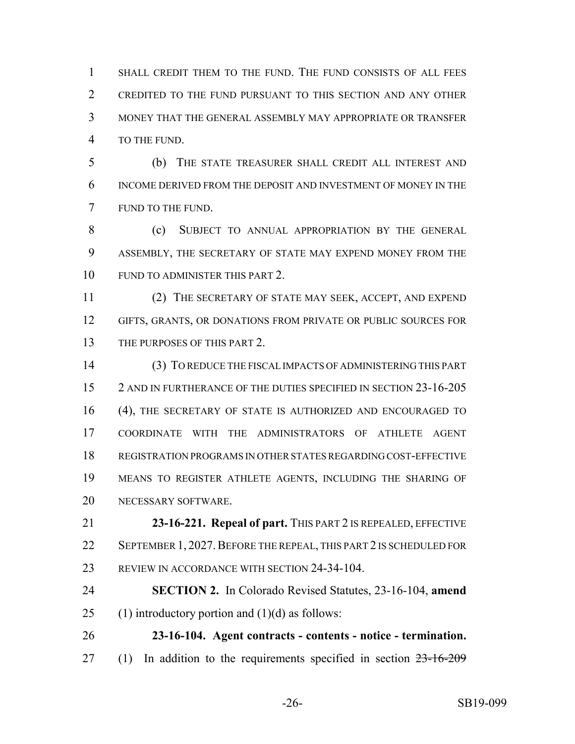SHALL CREDIT THEM TO THE FUND. THE FUND CONSISTS OF ALL FEES CREDITED TO THE FUND PURSUANT TO THIS SECTION AND ANY OTHER MONEY THAT THE GENERAL ASSEMBLY MAY APPROPRIATE OR TRANSFER TO THE FUND.

 (b) THE STATE TREASURER SHALL CREDIT ALL INTEREST AND INCOME DERIVED FROM THE DEPOSIT AND INVESTMENT OF MONEY IN THE FUND TO THE FUND.

8 (c) SUBJECT TO ANNUAL APPROPRIATION BY THE GENERAL ASSEMBLY, THE SECRETARY OF STATE MAY EXPEND MONEY FROM THE 10 FUND TO ADMINISTER THIS PART 2.

 (2) THE SECRETARY OF STATE MAY SEEK, ACCEPT, AND EXPEND GIFTS, GRANTS, OR DONATIONS FROM PRIVATE OR PUBLIC SOURCES FOR THE PURPOSES OF THIS PART 2.

 (3) TO REDUCE THE FISCAL IMPACTS OF ADMINISTERING THIS PART 2 AND IN FURTHERANCE OF THE DUTIES SPECIFIED IN SECTION 23-16-205 (4), THE SECRETARY OF STATE IS AUTHORIZED AND ENCOURAGED TO COORDINATE WITH THE ADMINISTRATORS OF ATHLETE AGENT REGISTRATION PROGRAMS IN OTHER STATES REGARDING COST-EFFECTIVE MEANS TO REGISTER ATHLETE AGENTS, INCLUDING THE SHARING OF NECESSARY SOFTWARE.

 **23-16-221. Repeal of part.** THIS PART 2 IS REPEALED, EFFECTIVE 22 SEPTEMBER 1, 2027. BEFORE THE REPEAL, THIS PART 2 IS SCHEDULED FOR REVIEW IN ACCORDANCE WITH SECTION 24-34-104.

 **SECTION 2.** In Colorado Revised Statutes, 23-16-104, **amend** 25 (1) introductory portion and  $(1)(d)$  as follows:

 **23-16-104. Agent contracts - contents - notice - termination.** 27 (1) In addition to the requirements specified in section  $23-16-209$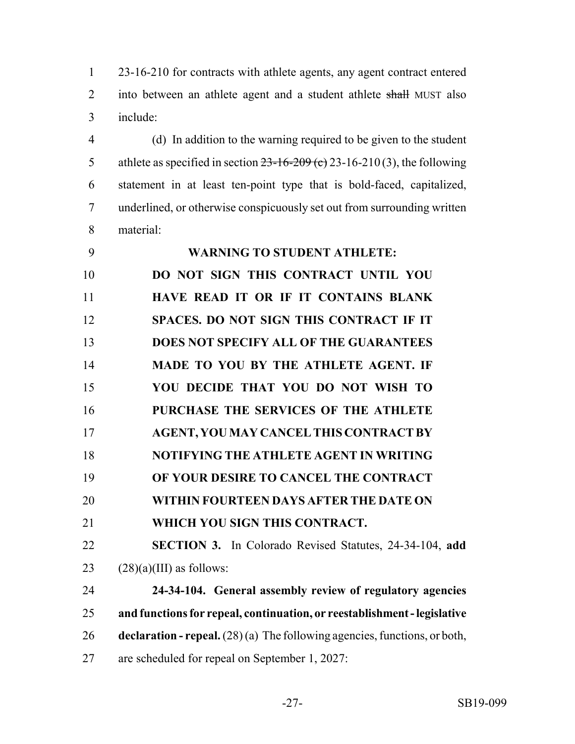23-16-210 for contracts with athlete agents, any agent contract entered 2 into between an athlete agent and a student athlete shall MUST also include:

 (d) In addition to the warning required to be given to the student 5 athlete as specified in section  $23-16-209$  (c) 23-16-210 (3), the following statement in at least ten-point type that is bold-faced, capitalized, underlined, or otherwise conspicuously set out from surrounding written material:

| 9  | <b>WARNING TO STUDENT ATHLETE:</b>                                          |
|----|-----------------------------------------------------------------------------|
| 10 | DO NOT SIGN THIS CONTRACT UNTIL YOU                                         |
| 11 | HAVE READ IT OR IF IT CONTAINS BLANK                                        |
| 12 | SPACES. DO NOT SIGN THIS CONTRACT IF IT                                     |
| 13 | DOES NOT SPECIFY ALL OF THE GUARANTEES                                      |
| 14 | MADE TO YOU BY THE ATHLETE AGENT. IF                                        |
| 15 | YOU DECIDE THAT YOU DO NOT WISH TO                                          |
| 16 | PURCHASE THE SERVICES OF THE ATHLETE                                        |
| 17 | <b>AGENT, YOU MAY CANCEL THIS CONTRACT BY</b>                               |
| 18 | NOTIFYING THE ATHLETE AGENT IN WRITING                                      |
| 19 | OF YOUR DESIRE TO CANCEL THE CONTRACT                                       |
| 20 | WITHIN FOURTEEN DAYS AFTER THE DATE ON                                      |
| 21 | WHICH YOU SIGN THIS CONTRACT.                                               |
| 22 | SECTION 3. In Colorado Revised Statutes, 24-34-104, add                     |
| 23 | $(28)(a)(III)$ as follows:                                                  |
| 24 | 24-34-104. General assembly review of regulatory agencies                   |
| 25 | and functions for repeal, continuation, or reestablishment - legislative    |
| 26 | declaration - repeal. $(28)(a)$ The following agencies, functions, or both, |
| 27 | are scheduled for repeal on September 1, 2027:                              |
|    |                                                                             |